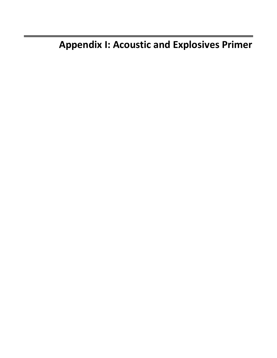**Appendix I: Acoustic and Explosives Primer**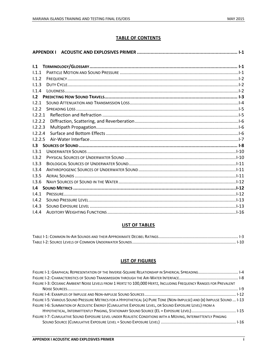# **TABLE OF CONTENTS**

| 1.1              |  |
|------------------|--|
| 1.1.1            |  |
| 1.1.2            |  |
| 1.1.3            |  |
| 1.1.4            |  |
| 1.2 <sub>2</sub> |  |
| 1.2.1            |  |
| 1.2.2            |  |
| 1.2.2.1          |  |
| 1.2.2.2          |  |
| 1.2.2.3          |  |
| 1.2.2.4          |  |
| 1.2.2.5          |  |
|                  |  |
| 1.3 <sup>2</sup> |  |
| 1.3.1            |  |
| 1.3.2            |  |
| 1.3.3            |  |
| 1.3.4            |  |
| 1.3.5            |  |
| 1.3.6            |  |
| 1.4              |  |
| 1.4.1            |  |
| 1.4.2            |  |
| 1.4.3            |  |

#### **LIST OF TABLES**

#### **LIST OF FIGURES**

| FIGURE I-1: GRAPHICAL REPRESENTATION OF THE INVERSE-SQUARE RELATIONSHIP IN SPHERICAL SPREADING 1-4                    |  |
|-----------------------------------------------------------------------------------------------------------------------|--|
|                                                                                                                       |  |
| FIGURE I-3: OCEANIC AMBIENT NOISE LEVELS FROM 1 HERTZ TO 100,000 HERTZ, INCLUDING FREQUENCY RANGES FOR PREVALENT      |  |
|                                                                                                                       |  |
|                                                                                                                       |  |
| FIGURE I-5: VARIOUS SOUND PRESSURE METRICS FOR A HYPOTHETICAL (A) PURE TONE (NON-IMPULSE) AND (B) IMPULSE SOUND  I-13 |  |
| FIGURE I-6: SUMMATION OF ACOUSTIC ENERGY (CUMULATIVE EXPOSURE LEVEL, OR SOUND EXPOSURE LEVEL) FROM A                  |  |
|                                                                                                                       |  |
| FIGURE I-7: CUMULATIVE SOUND EXPOSURE LEVEL UNDER REALISTIC CONDITIONS WITH A MOVING, INTERMITTENTLY PINGING          |  |
|                                                                                                                       |  |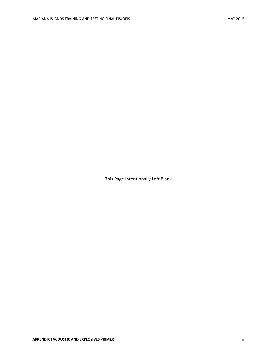This Page Intentionally Left Blank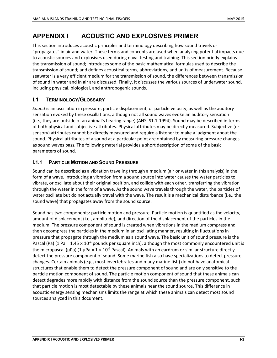# <span id="page-4-0"></span>**APPENDIX I ACOUSTIC AND EXPLOSIVES PRIMER**

This section introduces acoustic principles and terminology describing how sound travels or "propagates" in air and water. These terms and concepts are used when analyzing potential impacts due to acoustic sources and explosives used during naval testing and training. This section briefly explains the transmission of sound; introduces some of the basic mathematical formulas used to describe the transmission of sound; and defines acoustical terms, abbreviations, and units of measurement. Because seawater is a very efficient medium for the transmission of sound, the differences between transmission of sound in water and in air are discussed. Finally, it discusses the various sources of underwater sound, including physical, biological, and anthropogenic sounds.

# <span id="page-4-1"></span>**I.1 TERMINOLOGY/GLOSSARY**

*Sound* is an oscillation in pressure, particle displacement, or particle velocity, as well as the auditory sensation evoked by these oscillations, although not all sound waves evoke an auditory sensation (i.e., they are outside of an animal's hearing range) (ANSI S1.1-1994). Sound may be described in terms of both physical and subjective attributes. Physical attributes may be directly measured. Subjective (or sensory) attributes cannot be directly measured and require a listener to make a judgment about the sound. Physical attributes of a sound at a particular point are obtained by measuring pressure changes as sound waves pass. The following material provides a short description of some of the basic parameters of sound.

# <span id="page-4-2"></span>**I.1.1 PARTICLE MOTION AND SOUND PRESSURE**

Sound can be described as a vibration traveling through a medium (air or water in this analysis) in the form of a wave. Introducing a vibration from a sound source into water causes the water particles to vibrate, or oscillate about their original position, and collide with each other, transferring the vibration through the water in the form of a wave. As the sound wave travels through the water, the particles of water oscillate but do not actually travel with the wave. The result is a mechanical disturbance (i.e., the sound wave) that propagates away from the sound source.

Sound has two components: particle motion and pressure. Particle motion is quantified as the velocity, amount of displacement (i.e., amplitude), and direction of the displacement of the particles in the medium. The pressure component of sound is created when vibrations in the medium compress and then decompress the particles in the medium in an oscillating manner, resulting in fluctuations in pressure that propagate through the medium as a sound wave. The basic unit of sound pressure is the Pascal (Pa) (1 Pa =  $1.45 \times 10^{-4}$  pounds per square inch), although the most commonly encountered unit is the micropascal ( $\mu$ Pa) (1  $\mu$ Pa = 1  $\times$  10<sup>-6</sup> Pascal). Animals with an eardrum or similar structure directly detect the pressure component of sound. Some marine fish also have specializations to detect pressure changes. Certain animals (e.g., most invertebrates and many marine fish) do not have anatomical structures that enable them to detect the pressure component of sound and are only sensitive to the particle motion component of sound. The particle motion component of sound that these animals can detect degrades more rapidly with distance from the sound source than the pressure component, such that particle motion is most detectable by these animals near the sound source. This difference in acoustic energy sensing mechanisms limits the range at which these animals can detect most sound sources analyzed in this document.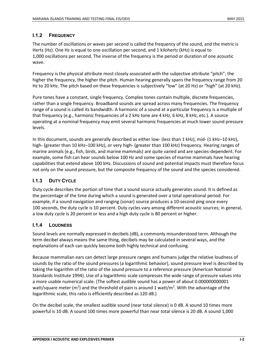# <span id="page-5-0"></span>**I.1.2 FREQUENCY**

The number of oscillations or waves per second is called the frequency of the sound, and the metric is Hertz (Hz). One Hz is equal to one oscillation per second, and 1 kilohertz (kHz) is equal to 1,000 oscillations per second. The inverse of the frequency is the period or duration of one acoustic wave.

Frequency is the physical attribute most closely associated with the subjective attribute "pitch"; the higher the frequency, the higher the pitch. Human hearing generally spans the frequency range from 20 Hz to 20 kHz. The pitch based on these frequencies is subjectively "low" (at 20 Hz) or "high" (at 20 kHz).

Pure tones have a constant, single frequency. Complex tones contain multiple, discrete frequencies, rather than a single frequency. Broadband sounds are spread across many frequencies. The frequency range of a sound is called its bandwidth. A harmonic of a sound at a particular frequency is a multiple of that frequency (e.g., harmonic frequencies of a 2 kHz tone are 4 kHz, 6 kHz, 8 kHz, etc.). A source operating at a nominal frequency may emit several harmonic frequencies at much lower sound pressure levels.

In this document, sounds are generally described as either low- (less than 1 kHz), mid- (1 kHz–10 kHz), high- (greater than 10 kHz–100 kHz), or very high- (greater than 100 kHz) frequency. Hearing ranges of marine animals (e.g., fish, birds, and marine mammals) are quite varied and are species-dependent. For example, some fish can hear sounds below 100 Hz and some species of marine mammals have hearing capabilities that extend above 100 kHz. Discussions of sound and potential impacts must therefore focus not only on the sound pressure, but the composite frequency of the sound and the species considered.

# <span id="page-5-1"></span>**I.1.3 DUTY CYCLE**

Duty cycle describes the portion of time that a sound source actually generates sound. It is defined as the percentage of the time during which a sound is generated over a total operational period. For example, if a sound navigation and ranging (sonar) source produces a 10-second ping once every 100 seconds, the duty cycle is 10 percent. Duty cycles vary among different acoustic sources; in general, a low duty cycle is 20 percent or less and a high duty cycle is 80 percent or higher.

# <span id="page-5-2"></span>**I.1.4 LOUDNESS**

Sound levels are normally expressed in decibels (dB), a commonly misunderstood term. Although the term decibel always means the same thing, decibels may be calculated in several ways, and the explanations of each can quickly become both highly technical and confusing.

Because mammalian ears can detect large pressure ranges and humans judge the relative loudness of sounds by the ratio of the sound pressures (a logarithmic behavior), sound pressure level is described by taking the logarithm of the ratio of the sound pressure to a reference pressure (American National Standards Institute 1994). Use of a logarithmic scale compresses the wide range of pressure values into a more usable numerical scale. (The softest audible sound has a power of about 0.000000000001 watt/square meter (m<sup>2</sup>) and the threshold of pain is around 1 watt/m<sup>2</sup>. With the advantage of the logarithmic scale, this ratio is efficiently described as 120 dB.)

On the decibel scale, the smallest audible sound (near total silence) is 0 dB. A sound 10 times more powerful is 10 dB. A sound 100 times more powerful than near total silence is 20 dB. A sound 1,000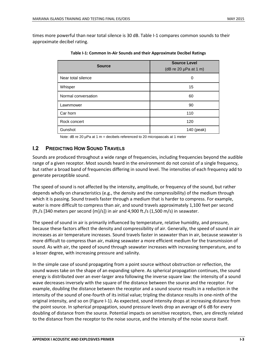<span id="page-6-1"></span>times more powerful than near total silence is 30 dB. Table I-1 compares common sounds to their approximate decibel rating.

| <b>Source</b>       | <b>Source Level</b><br>(dB re 20 $\mu$ Pa at 1 m) |
|---------------------|---------------------------------------------------|
| Near total silence  | 0                                                 |
| Whisper             | 15                                                |
| Normal conversation | 60                                                |
| Lawnmower           | 90                                                |
| Car horn            | 110                                               |
| Rock concert        | 120                                               |
| Gunshot             | 140 (peak)                                        |

**Table I-1: Common In-Air Sounds and their Approximate Decibel Ratings**

Note:  $dB$  re 20 µPa at 1 m = decibels referenced to 20 micropascals at 1 meter

# <span id="page-6-0"></span>**I.2 PREDICTING HOW SOUND TRAVELS**

Sounds are produced throughout a wide range of frequencies, including frequencies beyond the audible range of a given receptor. Most sounds heard in the environment do not consist of a single frequency, but rather a broad band of frequencies differing in sound level. The intensities of each frequency add to generate perceptible sound.

The speed of sound is not affected by the intensity, amplitude, or frequency of the sound, but rather depends wholly on characteristics (e.g., the density and the compressibility) of the medium through which it is passing. Sound travels faster through a medium that is harder to compress. For example, water is more difficult to compress than air, and sound travels approximately 1,100 feet per second (ft./s [340 meters per second {m}/s]) in air and 4,900 ft./s (1,500 m/s) in seawater.

The speed of sound in air is primarily influenced by temperature, relative humidity, and pressure, because these factors affect the density and compressibility of air. Generally, the speed of sound in air increases as air temperature increases. Sound travels faster in seawater than in air, because seawater is more difficult to compress than air, making seawater a more efficient medium for the transmission of sound. As with air, the speed of sound through seawater increases with increasing temperature, and to a lesser degree, with increasing pressure and salinity.

In the simple case of sound propagating from a point source without obstruction or reflection, the sound waves take on the shape of an expanding sphere. As spherical propagation continues, the sound energy is distributed over an ever-larger area following the inverse square law: the intensity of a sound wave decreases inversely with the square of the distance between the source and the receptor. For example, doubling the distance between the receptor and a sound source results in a reduction in the intensity of the sound of one-fourth of its initial value; tripling the distance results in one-ninth of the original intensity, and so on (Figure I-1). As expected, sound intensity drops at increasing distance from the point source. In spherical propagation, sound pressure levels drop an average of 6 dB for every doubling of distance from the source. Potential impacts on sensitive receptors, then, are directly related to the distance from the receptor to the noise source, and the intensity of the noise source itself.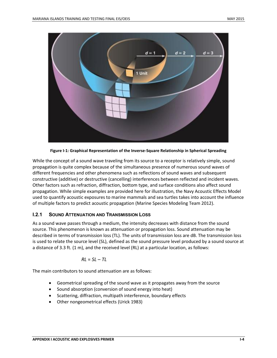

**Figure I-1: Graphical Representation of the Inverse-Square Relationship in Spherical Spreading**

<span id="page-7-1"></span>While the concept of a sound wave traveling from its source to a receptor is relatively simple, sound propagation is quite complex because of the simultaneous presence of numerous sound waves of different frequencies and other phenomena such as reflections of sound waves and subsequent constructive (additive) or destructive (cancelling) interferences between reflected and incident waves. Other factors such as refraction, diffraction, bottom type, and surface conditions also affect sound propagation. While simple examples are provided here for illustration, the Navy Acoustic Effects Model used to quantify acoustic exposures to marine mammals and sea turtles takes into account the influence of multiple factors to predict acoustic propagation (Marine Species Modeling Team 2012).

# <span id="page-7-0"></span>**I.2.1 SOUND ATTENUATION AND TRANSMISSION LOSS**

As a sound wave passes through a medium, the intensity decreases with distance from the sound source. This phenomenon is known as attenuation or propagation loss. Sound attenuation may be described in terms of transmission loss (TL). The units of transmission loss are dB. The transmission loss is used to relate the source level (SL), defined as the sound pressure level produced by a sound source at a distance of 3.3 ft. (1 m), and the received level (RL) at a particular location, as follows:

$$
RL = SL - TL
$$

The main contributors to sound attenuation are as follows:

- Geometrical spreading of the sound wave as it propagates away from the source
- Sound absorption (conversion of sound energy into heat)
- Scattering, diffraction, multipath interference, boundary effects
- Other nongeometrical effects (Urick 1983)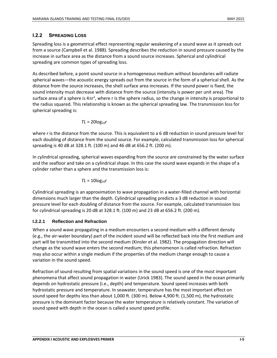# <span id="page-8-0"></span>**I.2.2 SPREADING LOSS**

Spreading loss is a geometrical effect representing regular weakening of a sound wave as it spreads out from a source (Campbell et al. 1988). Spreading describes the reduction in sound pressure caused by the increase in surface area as the distance from a sound source increases. Spherical and cylindrical spreading are common types of spreading loss.

As described before, a point sound source in a homogeneous medium without boundaries will radiate spherical waves—the acoustic energy spreads out from the source in the form of a spherical shell. As the distance from the source increases, the shell surface area increases. If the sound power is fixed, the sound intensity must decrease with distance from the source (intensity is power per unit area). The surface area of a sphere is  $4\pi r^2$ , where r is the sphere radius, so the change in intensity is proportional to the radius squared. This relationship is known as the spherical spreading law. The transmission loss for spherical spreading is:

$$
TL = 20\log_{10}r
$$

where *r* is the distance from the source. This is equivalent to a 6 dB reduction in sound pressure level for each doubling of distance from the sound source. For example, calculated transmission loss for spherical spreading is 40 dB at 328.1 ft. (100 m) and 46 dB at 656.2 ft. (200 m).

In cylindrical spreading, spherical waves expanding from the source are constrained by the water surface and the seafloor and take on a cylindrical shape. In this case the sound wave expands in the shape of a cylinder rather than a sphere and the transmission loss is:

$$
TL = 10\log_{10}r
$$

Cylindrical spreading is an approximation to wave propagation in a water-filled channel with horizontal dimensions much larger than the depth. Cylindrical spreading predicts a 3 dB reduction in sound pressure level for each doubling of distance from the source. For example, calculated transmission loss for cylindrical spreading is 20 dB at 328.1 ft.  $(100 \text{ m})$  and 23 dB at 656.2 ft.  $(200 \text{ m})$ .

# <span id="page-8-1"></span>**I.2.2.1 Reflection and Refraction**

When a sound wave propagating in a medium encounters a second medium with a different density (e.g., the air-water boundary) part of the incident sound will be reflected back into the first medium and part will be transmitted into the second medium (Kinsler et al. 1982). The propagation direction will change as the sound wave enters the second medium; this phenomenon is called refraction. Refraction may also occur within a single medium if the properties of the medium change enough to cause a variation in the sound speed.

Refraction of sound resulting from spatial variations in the sound speed is one of the most important phenomena that affect sound propagation in water (Urick 1983). The sound speed in the ocean primarily depends on hydrostatic pressure (i.e., depth) and temperature. Sound speed increases with both hydrostatic pressure and temperature. In seawater, temperature has the most important effect on sound speed for depths less than about 1,000 ft. (300 m). Below 4,900 ft. (1,500 m), the hydrostatic pressure is the dominant factor because the water temperature is relatively constant. The variation of sound speed with depth in the ocean is called a sound speed profile.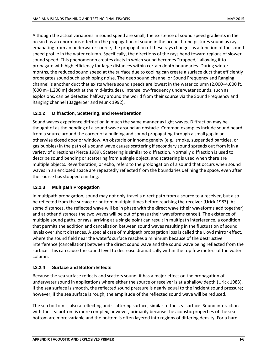Although the actual variations in sound speed are small, the existence of sound speed gradients in the ocean has an enormous effect on the propagation of sound in the ocean. If one pictures sound as rays emanating from an underwater source, the propagation of these rays changes as a function of the sound speed profile in the water column. Specifically, the directions of the rays bend toward regions of slower sound speed. This phenomenon creates ducts in which sound becomes "trapped," allowing it to propagate with high efficiency for large distances within certain depth boundaries. During winter months, the reduced sound speed at the surface due to cooling can create a surface duct that efficiently propagates sound such as shipping noise. The deep sound channel or Sound Frequency and Ranging channel is another duct that exists where sound speeds are lowest in the water column (2,000–4,000 ft. [600 m–1,200 m] depth at the mid-latitudes). Intense low-frequency underwater sounds, such as explosions, can be detected halfway around the world from their source via the Sound Frequency and Ranging channel (Baggeroer and Munk 1992).

# <span id="page-9-0"></span>**I.2.2.2 Diffraction, Scattering, and Reverberation**

Sound waves experience diffraction in much the same manner as light waves. Diffraction may be thought of as the bending of a sound wave around an obstacle. Common examples include sound heard from a source around the corner of a building and sound propagating through a small gap in an otherwise closed door or window. An obstacle or inhomogeneity (e.g., smoke, suspended particles, or gas bubbles) in the path of a sound wave causes scattering if secondary sound spreads out from it in a variety of directions (Pierce 1989). Scattering is similar to diffraction. Normally diffraction is used to describe sound bending or scattering from a single object, and scattering is used when there are multiple objects. Reverberation, or echo, refers to the prolongation of a sound that occurs when sound waves in an enclosed space are repeatedly reflected from the boundaries defining the space, even after the source has stopped emitting.

# <span id="page-9-1"></span>**I.2.2.3 Multipath Propagation**

In multipath propagation, sound may not only travel a direct path from a source to a receiver, but also be reflected from the surface or bottom multiple times before reaching the receiver (Urick 1983). At some distances, the reflected wave will be in phase with the direct wave (their waveforms add together) and at other distances the two waves will be out of phase (their waveforms cancel). The existence of multiple sound paths, or rays, arriving at a single point can result in multipath interference, a condition that permits the addition and cancellation between sound waves resulting in the fluctuation of sound levels over short distances. A special case of multipath propagation loss is called the Lloyd mirror effect, where the sound field near the water's surface reaches a minimum because of the destructive interference (cancellation) between the direct sound wave and the sound wave being reflected from the surface. This can cause the sound level to decrease dramatically within the top few meters of the water column.

# <span id="page-9-2"></span>**I.2.2.4 Surface and Bottom Effects**

Because the sea surface reflects and scatters sound, it has a major effect on the propagation of underwater sound in applications where either the source or receiver is at a shallow depth (Urick 1983). If the sea surface is smooth, the reflected sound pressure is nearly equal to the incident sound pressure; however, if the sea surface is rough, the amplitude of the reflected sound wave will be reduced.

The sea bottom is also a reflecting and scattering surface, similar to the sea surface. Sound interaction with the sea bottom is more complex, however, primarily because the acoustic properties of the sea bottom are more variable and the bottom is often layered into regions of differing density. For a hard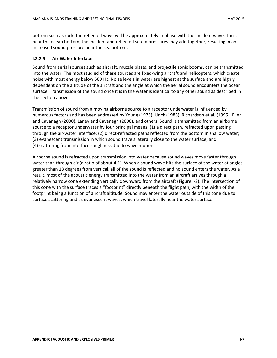bottom such as rock, the reflected wave will be approximately in phase with the incident wave. Thus, near the ocean bottom, the incident and reflected sound pressures may add together, resulting in an increased sound pressure near the sea bottom.

#### <span id="page-10-0"></span>**I.2.2.5 Air-Water Interface**

Sound from aerial sources such as aircraft, muzzle blasts, and projectile sonic booms, can be transmitted into the water. The most studied of these sources are fixed-wing aircraft and helicopters, which create noise with most energy below 500 Hz. Noise levels in water are highest at the surface and are highly dependent on the altitude of the aircraft and the angle at which the aerial sound encounters the ocean surface. Transmission of the sound once it is in the water is identical to any other sound as described in the section above.

Transmission of sound from a moving airborne source to a receptor underwater is influenced by numerous factors and has been addressed by Young (1973), Urick (1983), Richardson et al*.* (1995), Eller and Cavanagh (2000), Laney and Cavanagh (2000), and others. Sound is transmitted from an airborne source to a receptor underwater by four principal means: (1) a direct path, refracted upon passing through the air-water interface; (2) direct-refracted paths reflected from the bottom in shallow water; (3) evanescent transmission in which sound travels laterally close to the water surface; and (4) scattering from interface roughness due to wave motion.

Airborne sound is refracted upon transmission into water because sound waves move faster through water than through air (a ratio of about 4:1). When a sound wave hits the surface of the water at angles greater than 13 degrees from vertical, all of the sound is reflected and no sound enters the water. As a result, most of the acoustic energy transmitted into the water from an aircraft arrives through a relatively narrow cone extending vertically downward from the aircraft [\(Figure I-2\)](#page-11-1). The intersection of this cone with the surface traces a "footprint" directly beneath the flight path, with the width of the footprint being a function of aircraft altitude. Sound may enter the water outside of this cone due to surface scattering and as evanescent waves, which travel laterally near the water surface.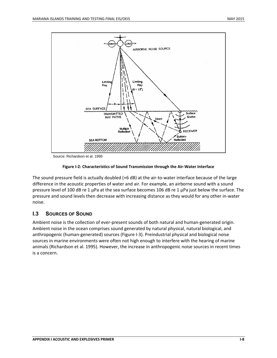

Source: Richardson et al. 1995

#### **Figure I-2: Characteristics of Sound Transmission through the Air-Water Interface**

<span id="page-11-1"></span>The sound pressure field is actually doubled (+6 dB) at the air-to-water interface because of the large difference in the acoustic properties of water and air. For example, an airborne sound with a sound pressure level of 100 dB re 1  $\mu$ Pa at the sea surface becomes 106 dB re 1  $\mu$ Pa just below the surface. The pressure and sound levels then decrease with increasing distance as they would for any other in-water noise.

# <span id="page-11-0"></span>**I.3 SOURCES OF SOUND**

Ambient noise is the collection of ever-present sounds of both natural and human-generated origin. Ambient noise in the ocean comprises sound generated by natural physical, natural biological, and anthropogenic (human-generated) sources [\(Figure I-3\)](#page-12-0). Preindustrial physical and biological noise sources in marine environments were often not high enough to interfere with the hearing of marine animals (Richardson et al. 1995). However, the increase in anthropogenic noise sources in recent times is a concern.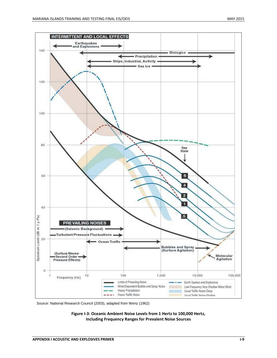

<span id="page-12-0"></span>Source: National Research Council (2003), adapted from Wenz (1962)

**Figure I-3: Oceanic Ambient Noise Levels from 1 Hertz to 100,000 Hertz, Including Frequency Ranges for Prevalent Noise Sources**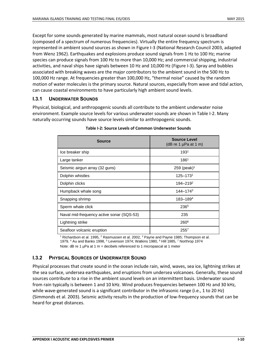Except for some sounds generated by marine mammals, most natural ocean sound is broadband (composed of a spectrum of numerous frequencies). Virtually the entire frequency spectrum is represented in ambient sound sources as shown in Figure I-3 (National Research Council 2003, adapted from Wenz 1962). Earthquakes and explosions produce sound signals from 1 Hz to 100 Hz; marine species can produce signals from 100 Hz to more than 10,000 Hz; and commercial shipping, industrial activities, and naval ships have signals between 10 Hz and 10,000 Hz [\(Figure I-3\)](#page-12-0). Spray and bubbles associated with breaking waves are the major contributors to the ambient sound in the 500 Hz to 100,000 Hz range. At frequencies greater than 100,000 Hz, "thermal noise" caused by the random motion of water molecules is the primary source. Natural sources, especially from wave and tidal action, can cause coastal environments to have particularly high ambient sound levels.

#### <span id="page-13-0"></span>**I.3.1 UNDERWATER SOUNDS**

<span id="page-13-2"></span>Physical, biological, and anthropogenic sounds all contribute to the ambient underwater noise environment. Example source levels for various underwater sounds are shown i[n Table I-2.](#page-13-2) Many naturally occurring sounds have source levels similar to anthropogenic sounds.

| <b>Source</b>                             | <b>Source Level</b><br>(dB re 1 $\mu$ Pa at 1 m) |
|-------------------------------------------|--------------------------------------------------|
| Ice breaker ship                          | 193 <sup>1</sup>                                 |
| Large tanker                              | 1861                                             |
| Seismic airgun array (32 guns)            | 259 (peak) $1$                                   |
| Dolphin whistles                          | $125 - 173$ <sup>1</sup>                         |
| Dolphin clicks                            | $194 - 219^2$                                    |
| Humpback whale song                       | $144 - 174$ <sup>3</sup>                         |
| Snapping shrimp                           | $183 - 1894$                                     |
| Sperm whale click                         | 2365                                             |
| Naval mid-frequency active sonar (SQS-53) | 235                                              |
| Lightning strike                          | 260 <sup>6</sup>                                 |
| Seafloor volcanic eruption                | $255^7$                                          |

|  |  | Table I-2: Source Levels of Common Underwater Sounds |
|--|--|------------------------------------------------------|
|--|--|------------------------------------------------------|

 $1$  Richardson et al. 1995,  $2$  Rasmussen et al. 2002,  $3$  Payne and Payne 1985; Thompson et al. 1979, <sup>4</sup> Au and Banks 1998, <sup>5</sup> Levenson 1974; Watkins 1980, <sup>6</sup> Hill 1985, <sup>7</sup> Northrop 1974 Note: dB re 1  $\mu$ Pa at 1 m = decibels referenced to 1 micropascal at 1 meter

# <span id="page-13-1"></span>**I.3.2 PHYSICAL SOURCES OF UNDERWATER SOUND**

Physical processes that create sound in the ocean include rain, wind, waves, sea ice, lightning strikes at the sea surface, undersea earthquakes, and eruptions from undersea volcanoes. Generally, these sound sources contribute to a rise in the ambient sound levels on an intermittent basis. Underwater sound from rain typically is between 1 and 10 kHz. Wind produces frequencies between 100 Hz and 30 kHz, while wave-generated sound is a significant contributor in the infrasonic range (i.e., 1 to 20 Hz) (Simmonds et al. 2003). Seismic activity results in the production of low-frequency sounds that can be heard for great distances.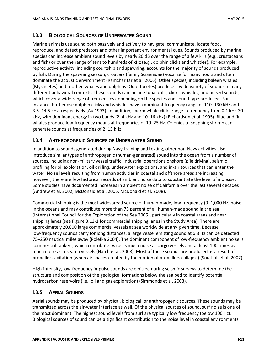# <span id="page-14-0"></span>**I.3.3 BIOLOGICAL SOURCES OF UNDERWATER SOUND**

Marine animals use sound both passively and actively to navigate, communicate, locate food, reproduce, and detect predators and other important environmental cues. Sounds produced by marine species can increase ambient sound levels by nearly 20 dB over the range of a few kHz (e.g., crustaceans and fish) or over the range of tens to hundreds of kHz (e.g., dolphin clicks and whistles). For example, reproductive activity, including courtship and spawning, accounts for the majority of sounds produced by fish. During the spawning season, croakers (famil[y Sciaenidae\)](http://www.fishbase.org/summary/FamilySummary.php?ID=331) vocalize for many hours and often dominate the acoustic environment [\(Ramcharitar et al. 2006\)](#page-21-0). Other species, including baleen whales (Mysticetes) and toothed whales and dolphins (Odontocetes) produce a wide variety of sounds in many different behavioral contexts. These sounds can include tonal calls, clicks, whistles, and pulsed sounds, which cover a wide range of frequencies depending on the species and sound type produced. For instance, bottlenose dolphin clicks and whistles have a dominant frequency range of 110–130 kHz and 3.5–14.5 kHz, respectively (Au 1993). In addition, sperm whale clicks range in frequency from 0.1 kHz-30 kHz, with dominant energy in two bands (2–4 kHz and 10–16 kHz) (Richardson et al. 1995). Blue and fin whales produce low-frequency moans at frequencies of 10–25 Hz. Colonies of snapping shrimp can generate sounds at frequencies of 2–15 kHz.

# <span id="page-14-1"></span>**I.3.4 ANTHROPOGENIC SOURCES OF UNDERWATER SOUND**

In addition to sounds generated during Navy training and testing, other non-Navy activities also introduce similar types of anthropogenic (human-generated) sound into the ocean from a number of sources, including non-military vessel traffic, industrial operations onshore (pile driving), seismic profiling for oil exploration, oil drilling, underwater explosions, and in-air sources that can enter the water. Noise levels resulting from human activities in coastal and offshore areas are increasing; however, there are few historical records of ambient noise data to substantiate the level of increase. Some studies have documented increases in ambient noise off California over the last several decades (Andrew et al. 2002, McDonald et al. 2006, McDonald et al. 2008).

Commercial shipping is the most widespread source of human-made, low-frequency (0–1,000 Hz) noise in the oceans and may contribute more than 75 percent of all human-made sound in the sea (International Council for the Exploration of the Sea 2005), particularly in coastal areas and near shipping lanes (see Figure 3.12-1 for commercial shipping lanes in the Study Area). There are approximately 20,000 large commercial vessels at sea worldwide at any given time. Because low-frequency sounds carry for long distances, a large vessel emitting sound at 6.8 Hz can be detected 75–250 nautical miles away (Polefka 2004). The dominant component of low-frequency ambient noise is commercial tankers, which contribute twice as much noise as cargo vessels and at least 100 times as much noise as research vessels (Hatch et al. 2008). Most of these sounds are produced as a result of propeller cavitation (when air spaces created by the motion of propellers collapse) (Southall et al. 2007).

High-intensity, low-frequency impulse sounds are emitted during seismic surveys to determine the structure and composition of the geological formations below the sea bed to identify potential hydrocarbon reservoirs (i.e., oil and gas exploration) (Simmonds et al. 2003).

# <span id="page-14-2"></span>**I.3.5 AERIAL SOUNDS**

Aerial sounds may be produced by physical, biological, or anthropogenic sources. These sounds may be transmitted across the air-water interface as well. Of the physical sources of sound, surf noise is one of the most dominant. The highest sound levels from surf are typically low frequency (below 100 Hz). Biological sources of sound can be a significant contribution to the noise level in coastal environments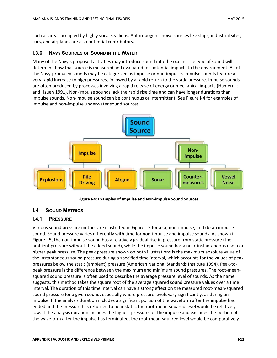such as areas occupied by highly vocal sea lions. Anthropogenic noise sources like ships, industrial sites, cars, and airplanes are also potential contributors.

# <span id="page-15-0"></span>**I.3.6 NAVY SOURCES OF SOUND IN THE WATER**

Many of the Navy's proposed activities may introduce sound into the ocean. The type of sound will determine how that source is measured and evaluated for potential impacts to the environment. All of the Navy-produced sounds may be categorized as impulse or non-impulse. Impulse sounds feature a very rapid increase to high pressures, followed by a rapid return to the static pressure. Impulse sounds are often produced by processes involving a rapid release of energy or mechanical impacts (Hamernik and Hsueh 1991). Non-impulse sounds lack the rapid rise time and can have longer durations than impulse sounds. Non-impulse sound can be continuous or intermittent. Se[e Figure I-4](#page-15-3) for examples of impulse and non-impulse underwater sound sources.



**Figure I-4: Examples of Impulse and Non-impulse Sound Sources**

# <span id="page-15-3"></span><span id="page-15-1"></span>**I.4 SOUND METRICS**

# <span id="page-15-2"></span>**I.4.1 PRESSURE**

Various sound pressure metrics are illustrated in [Figure I-5](#page-16-2) for a (a) non-impulse, and (b) an impulse sound. Sound pressure varies differently with time for non-impulse and impulse sounds. As shown in [Figure I-5,](#page-16-2) the non-impulse sound has a relatively gradual rise in pressure from static pressure (the ambient pressure without the added sound), while the impulse sound has a near-instantaneous rise to a higher peak pressure. The peak pressure shown on both illustrations is the maximum absolute value of the instantaneous sound pressure during a specified time interval, which accounts for the values of peak pressures below the static (ambient) pressure (American National Standards Institute 1994). Peak-topeak pressure is the difference between the maximum and minimum sound pressures. The root-meansquared sound pressure is often used to describe the average pressure level of sounds. As the name suggests, this method takes the square root of the average squared sound pressure values over a time interval. The duration of this time interval can have a strong effect on the measured root-mean-squared sound pressure for a given sound, especially where pressure levels vary significantly, as during an impulse. If the analysis duration includes a significant portion of the waveform after the impulse has ended and the pressure has returned to near static, the root-mean-squared level would be relatively low. If the analysis duration includes the highest pressures of the impulse and excludes the portion of the waveform after the impulse has terminated, the root-mean-squared level would be comparatively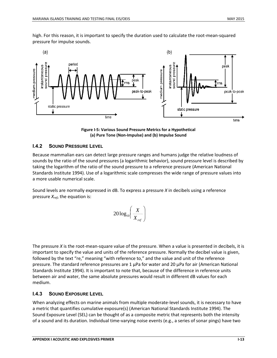high. For this reason, it is important to specify the duration used to calculate the root-mean-squared pressure for impulse sounds.



**Figure I-5: Various Sound Pressure Metrics for a Hypothetical (a) Pure Tone (Non-Impulse) and (b) Impulse Sound**

# <span id="page-16-2"></span><span id="page-16-0"></span>**I.4.2 SOUND PRESSURE LEVEL**

Because mammalian ears can detect large pressure ranges and humans judge the relative loudness of sounds by the ratio of the sound pressures (a logarithmic behavior), sound pressure level is described by taking the logarithm of the ratio of the sound pressure to a reference pressure (American National Standards Institute 1994). Use of a logarithmic scale compresses the wide range of pressure values into a more usable numerical scale.

Sound levels are normally expressed in dB. To express a pressure *X* in decibels using a reference pressure *Xref*, the equation is:

$$
20\log_{10}\!\!\left(\frac{X}{X_{_{ref}}}\right)
$$

The pressure *X* is the root-mean-square value of the pressure. When a value is presented in decibels, it is important to specify the value and units of the reference pressure. Normally the decibel value is given, followed by the text "re," meaning "with reference to," and the value and unit of the reference pressure. The standard reference pressures are 1  $\mu$ Pa for water and 20  $\mu$ Pa for air (American National Standards Institute 1994). It is important to note that, because of the difference in reference units between air and water, the same absolute pressures would result in different dB values for each medium.

# <span id="page-16-1"></span>**I.4.3 SOUND EXPOSURE LEVEL**

When analyzing effects on marine animals from multiple moderate-level sounds, it is necessary to have a metric that quantifies cumulative exposure(s) (American National Standards Institute 1994). The Sound Exposure Level (SEL) can be thought of as a composite metric that represents both the intensity of a sound and its duration. Individual time-varying noise events (e.g., a series of sonar pings) have two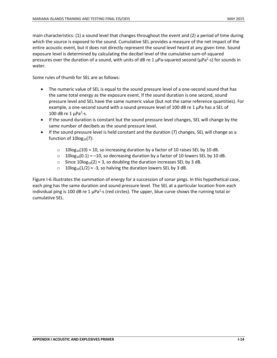main characteristics: (1) a sound level that changes throughout the event and (2) a period of time during which the source is exposed to the sound. Cumulative SEL provides a measure of the net impact of the entire acoustic event, but it does not directly represent the sound level heard at any given time. Sound exposure level is determined by calculating the decibel level of the cumulative sum-of-squared pressures over the duration of a sound, with units of dB re 1  $\mu$ Pa-squared second ( $\mu$ Pa<sup>2</sup>-s) for sounds in water.

Some rules of thumb for SEL are as follows:

- The numeric value of SEL is equal to the sound pressure level of a one-second sound that has the same total energy as the exposure event. If the sound duration is one second, sound pressure level and SEL have the same numeric value (but not the same reference quantities). For example, a one-second sound with a sound pressure level of 100 dB re 1  $\mu$ Pa has a SEL of 100 dB re  $1 \mu Pa^2$ -s.
- If the sound duration is constant but the sound pressure level changes, SEL will change by the same number of decibels as the sound pressure level.
- $\bullet$  If the sound pressure level is held constant and the duration ( $\tau$ ) changes, SEL will change as a function of  $10log_{10}(T)$ :
	- $\circ$  10log<sub>10</sub>(10) = 10, so increasing duration by a factor of 10 raises SEL by 10 dB.
	- $\circ$  10log<sub>10</sub>(0.1) = -10, so decreasing duration by a factor of 10 lowers SEL by 10 dB.
	- o Since 10log<sub>10</sub>(2) ≈ 3, so doubling the duration increases SEL by 3 dB.
	- o 10log<sub>10</sub>(1/2) ≈ -3, so halving the duration lowers SEL by 3 dB.

[Figure I-6](#page-18-0) illustrates the summation of energy for a succession of sonar pings. In this hypothetical case, each ping has the same duration and sound pressure level. The SEL at a particular location from each individual ping is 100 dB re 1  $\mu$ Pa<sup>2</sup>-s (red circles). The upper, blue curve shows the running total or cumulative SEL.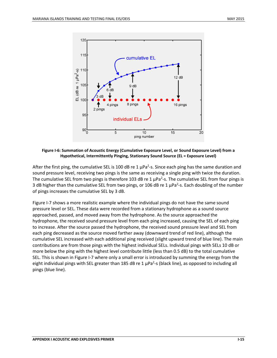

<span id="page-18-0"></span>**Figure I-6: Summation of Acoustic Energy (Cumulative Exposure Level, or Sound Exposure Level) from a Hypothetical, Intermittently Pinging, Stationary Sound Source (EL = Exposure Level)**

After the first ping, the cumulative SEL is 100 dB re 1  $\mu$ Pa<sup>2</sup>-s. Since each ping has the same duration and sound pressure level, receiving two pings is the same as receiving a single ping with twice the duration. The cumulative SEL from two pings is therefore 103 dB re 1  $\mu$ Pa<sup>2</sup>-s. The cumulative SEL from four pings is 3 dB higher than the cumulative SEL from two pings, or 106 dB re 1  $\mu$ Pa<sup>2</sup>-s. Each doubling of the number of pings increases the cumulative SEL by 3 dB.

[Figure](#page-19-1) I-7 shows a more realistic example where the individual pings do not have the same sound pressure level or SEL. These data were recorded from a stationary hydrophone as a sound source approached, passed, and moved away from the hydrophone. As the source approached the hydrophone, the received sound pressure level from each ping increased, causing the SEL of each ping to increase. After the source passed the hydrophone, the received sound pressure level and SEL from each ping decreased as the source moved farther away (downward trend of red line), although the cumulative SEL increased with each additional ping received (slight upward trend of blue line). The main contributions are from those pings with the highest individual SELs. Individual pings with SELs 10 dB or more below the ping with the highest level contribute little (less than 0.5 dB) to the total cumulative SEL. This is shown in [Figure](#page-19-1) I-7 where only a small error is introduced by summing the energy from the eight individual pings with SEL greater than 185 dB re 1  $\mu$ Pa<sup>2</sup>-s (black line), as opposed to including all pings (blue line).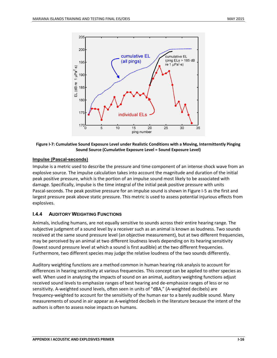

#### <span id="page-19-1"></span>**Figure I-7: Cumulative Sound Exposure Level under Realistic Conditions with a Moving, Intermittently Pinging Sound Source (Cumulative Exposure Level = Sound Exposure Level)**

#### **Impulse (Pascal-seconds)**

Impulse is a metric used to describe the pressure and time component of an intense shock wave from an explosive source. The impulse calculation takes into account the magnitude and duration of the initial peak positive pressure, which is the portion of an impulse sound most likely to be associated with damage. Specifically, impulse is the time integral of the initial peak positive pressure with units Pascal-seconds. The peak positive pressure for an impulse sound is shown in [Figure I-5](#page-16-2) as the first and largest pressure peak above static pressure. This metric is used to assess potential injurious effects from explosives.

# <span id="page-19-0"></span>**I.4.4 AUDITORY WEIGHTING FUNCTIONS**

Animals, including humans, are not equally sensitive to sounds across their entire hearing range. The subjective judgment of a sound level by a receiver such as an animal is known as loudness. Two sounds received at the same sound pressure level (an objective measurement), but at two different frequencies, may be perceived by an animal at two different loudness levels depending on its hearing sensitivity (lowest sound pressure level at which a sound is first audible) at the two different frequencies. Furthermore, two different species may judge the relative loudness of the two sounds differently.

Auditory weighting functions are a method common in human hearing risk analysis to account for differences in hearing sensitivity at various frequencies. This concept can be applied to other species as well. When used in analyzing the impacts of sound on an animal, auditory weighting functions adjust received sound levels to emphasize ranges of best hearing and de-emphasize ranges of less or no sensitivity. A-weighted sound levels, often seen in units of "dBA," (A-weighted decibels) are frequency-weighted to account for the sensitivity of the human ear to a barely audible sound. Many measurements of sound in air appear as A-weighted decibels in the literature because the intent of the authors is often to assess noise impacts on humans.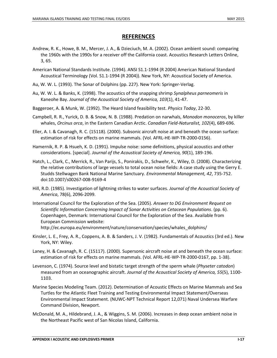# **REFERENCES**

- Andrew, R. K., Howe, B. M., Mercer, J. A., & Dzieciuch, M. A. (2002). Ocean ambient sound: comparing the 1960s with the 1990s for a receiver off the California coast. Acoustics Research Letters Online, 3, 65.
- American National Standards Institute. (1994). ANSI S1.1-1994 (R 2004) American National Standard Acoustical Terminology (Vol. S1.1-1994 (R 2004)). New York, NY: Acoustical Society of America.
- Au, W. W. L. (1993). The Sonar of Dolphins (pp. 227). New York: Springer-Verlag.
- Au, W. W. L. & Banks, K. (1998). The acoustics of the snapping shrimp *Synalpheus parneomeris* in Kaneohe Bay. *Journal of the Acoustical Society of America, 103*(1), 41-47.
- Baggeroer, A. & Munk, W. (1992). The Heard Island feasibility test. *Physics Today*, 22-30.
- Campbell, R. R., Yurick, D. B. & Snow, N. B. (1988). Predation on narwhals, *Monodon monoceros*, by killer whales, *Orcinus orca*, in the Eastern Canadian Arctic. *Canadian Field-Naturalist, 102*(4), 689-696.
- Eller, A. I. & Cavanagh, R. C. (15118). (2000). Subsonic aircraft noise at and beneath the ocean surface: estimation of risk for effects on marine mammals. (Vol. AFRL-HE-WP-TR-2000-0156).
- Hamernik, R. P. & Hsueh, K. D. (1991). Impulse noise: some definitions, physical acoustics and other considerations. [special]. *Journal of the Acoustical Society of America, 90*(1), 189-196.
- Hatch, L., Clark, C., Merrick, R., Van Parijs, S., Ponirakis, D., Schwehr, K., Wiley, D. (2008). Characterizing the relative contributions of large vessels to total ocean noise fields: A case study using the Gerry E. Studds Stellwagen Bank National Marine Sanctuary. *Environmental Management, 42*, 735-752. doi:10.1007/s00267-008-9169-4
- Hill, R.D. (1985). Investigation of lightning strikes to water surfaces. *Journal of the Acoustical Society of America*, 78(6), 2096-2099.
- International Council for the Exploration of the Sea. (2005). *Answer to DG Environment Request on Scientific Information Concerning Impact of Sonar Activities on Cetacean Populations*. (pp. 6). Copenhagen, Denmark: International Council for the Exploration of the Sea. Available from European Commission website: http://ec.europa.eu/environment/nature/conservation/species/whales\_dolphins/
- Kinsler, L. E., Frey, A. R., Coppens, A. B. & Sanders, J. V. (1982). Fundamentals of Acoustics (3rd ed.). New York, NY: Wiley.
- Laney, H. & Cavanagh, R. C. (15117). (2000). Supersonic aircraft noise at and beneath the ocean surface: estimation of risk for effects on marine mammals. (Vol. AFRL-HE-WP-TR-2000-0167, pp. 1-38).
- Levenson, C. (1974). Source level and bistatic target strength of the sperm whale (*Physeter catodon*) measured from an oceanographic aircraft. *Journal of the Acoustical Society of America, 55*(5), 1100- 1103.
- Marine Species Modeling Team. (2012). Determination of Acoustic Effects on Marine Mammals and Sea Turtles for the Atlantic Fleet Training and Testing Environmental Impact Statement/Overseas Environmental Impact Statement. (NUWC-NPT Technical Report 12,071) Naval Undersea Warfare Command Division, Newport.
- McDonald, M. A., Hildebrand, J. A., & Wiggins, S. M. (2006). Increases in deep ocean ambient noise in the Northeast Pacific west of San Nicolas Island, California.